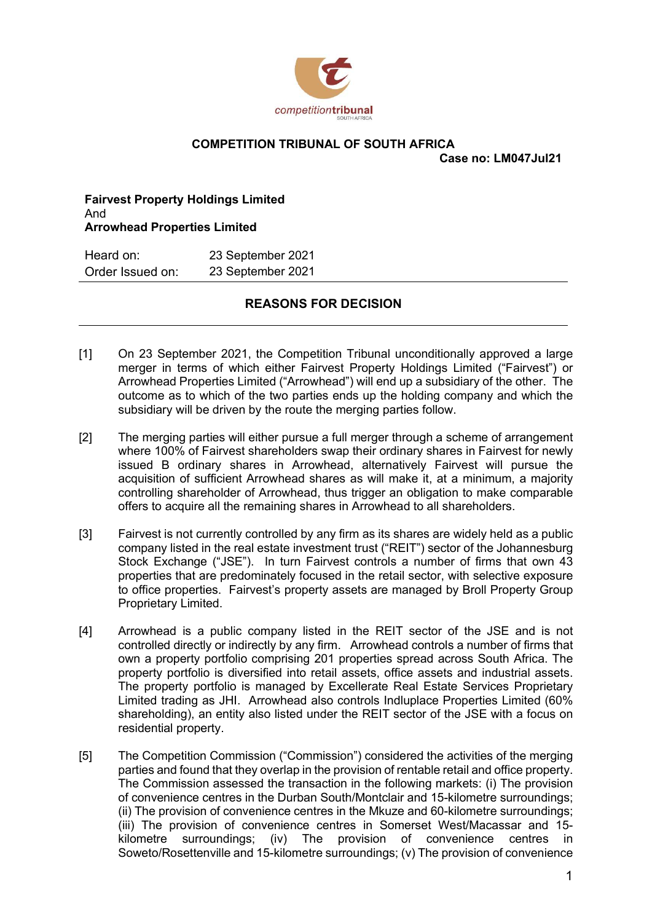

## COMPETITION TRIBUNAL OF SOUTH AFRICA

Case no: LM047Jul21

Fairvest Property Holdings Limited And Arrowhead Properties Limited

| Heard on:        | 23 September 2021 |
|------------------|-------------------|
| Order Issued on: | 23 September 2021 |

## REASONS FOR DECISION

- competition TRIBUNAL OF SOUTH AFRICA<br>
Fairvest Property Holdings Limited<br>
Arrowhead Properties Limited<br>
Arrowhead Properties Limited<br>
Arrowhead Properties Limited<br>
Heard on: 23 September 2021<br>
Drder Issued on: 23 September merger in terms of which either Fairvest Property Holdings Limited ("Fairvest") or Arrowhead Properties Limited ("Arrowhead") will end up a subsidiary of the other. The outcome as to which of the two parties ends up the holding company and which the subsidiary will be driven by the route the merging parties follow.
- Case no: LM047Jul21<br>
And<br>
And<br>
And<br>
And<br>
And<br>
And<br>
And<br>
Character Summerging parties Limited<br>
Heard on: 23 September 2021<br>
REASONS FOR DECISION<br>
The merger in terms of which either Fairwest Property Holdings Limited ("Fair where 100% of Fairvest shareholders swap their ordinary shares in Fairvest for newly issued B ordinary shares in Arrowhead, alternatively Fairvest will pursue the acquisition of sufficient Arrowhead shares as will make it, at a minimum, a majority controlling shareholder of Arrowhead, thus trigger an obligation to make comparable offers to acquire all the remaining shares in Arrowhead to all shareholders. Heard on: 23 September 2021<br> **REASONS FOR DECISION**<br> **REASONS FOR DECISION**<br> **REASONS FOR DECISION**<br> **REASONS FOR DECISION**<br> **REASONS FOR DECISION**<br> **REASONS EXECT TO there for the start of which either Fairwest Property** [1] On 23 September 2021, the Competition Tribunal unconditionally approved a large<br>merger in terms of which tellter Fairwest Property Holdings Limited ("Fairwest") or<br>Arrowhead Properties Limited ("Arrowhead") will end up
- company listed in the real estate investment trust ("REIT") sector of the Johannesburg Stock Exchange ("JSE"). In turn Fairvest controls a number of firms that own 43 properties that are predominately focused in the retail sector, with selective exposure to office properties. Fairvest's property assets are managed by Broll Property Group Proprietary Limited.
- controlled directly or indirectly by any firm. Arrowhead controls a number of firms that own a property portfolio comprising 201 properties spread across South Africa. The property portfolio is diversified into retail assets, office assets and industrial assets. The property portfolio is managed by Excellerate Real Estate Services Proprietary Limited trading as JHI. Arrowhead also controls Indluplace Properties Limited (60% shareholding), an entity also listed under the REIT sector of the JSE with a focus on residential property. ecquisition of sufficient Arrowhead shares as will make it, at a minimum, a majority<br>controlling shareholder of Arrowhead, thus trigger an obligation to make comparable<br>offers to acquire all the remaining shares in Arrowhe
- parties and found that they overlap in the provision of rentable retail and office property. The Commission assessed the transaction in the following markets: (i) The provision of convenience centres in the Durban South/Montclair and 15-kilometre surroundings; (ii) The provision of convenience centres in the Mkuze and 60-kilometre surroundings; (iii) The provision of convenience centres in Somerset West/Macassar and 15 kilometre surroundings; (iv) The provision of convenience centres in Soweto/Rosettenville and 15-kilometre surroundings; (v) The provision of convenience